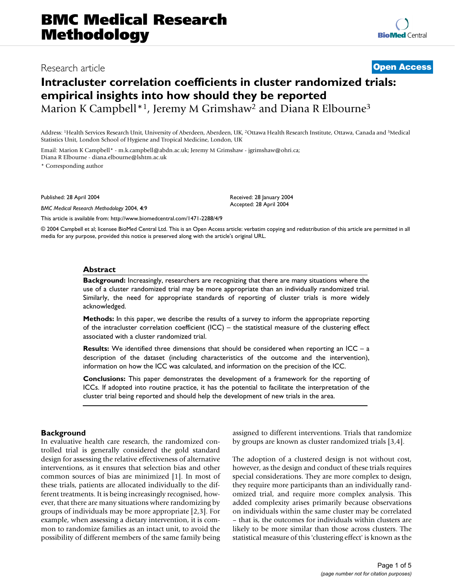# Research article **[Open Access](http://www.biomedcentral.com/info/about/charter/)**

# **Intracluster correlation coefficients in cluster randomized trials: empirical insights into how should they be reported** Marion K Campbell<sup>\*1</sup>, Jeremy M Grimshaw<sup>2</sup> and Diana R Elbourne<sup>3</sup>

Address: 1Health Services Research Unit, University of Aberdeen, Aberdeen, UK, 2Ottawa Health Research Institute, Ottawa, Canada and 3Medical Statistics Unit, London School of Hygiene and Tropical Medicine, London, UK

Email: Marion K Campbell\* - m.k.campbell@abdn.ac.uk; Jeremy M Grimshaw - jgrimshaw@ohri.ca; Diana R Elbourne - diana.elbourne@lshtm.ac.uk

\* Corresponding author

Published: 28 April 2004

*BMC Medical Research Methodology* 2004, **4**:9

[This article is available from: http://www.biomedcentral.com/1471-2288/4/9](http://www.biomedcentral.com/1471-2288/4/9)

© 2004 Campbell et al; licensee BioMed Central Ltd. This is an Open Access article: verbatim copying and redistribution of this article are permitted in all media for any purpose, provided this notice is preserved along with the article's original URL.

Received: 28 January 2004 Accepted: 28 April 2004

#### **Abstract**

**Background:** Increasingly, researchers are recognizing that there are many situations where the use of a cluster randomized trial may be more appropriate than an individually randomized trial. Similarly, the need for appropriate standards of reporting of cluster trials is more widely acknowledged.

**Methods:** In this paper, we describe the results of a survey to inform the appropriate reporting of the intracluster correlation coefficient  $(ICC)$  – the statistical measure of the clustering effect associated with a cluster randomized trial.

**Results:** We identified three dimensions that should be considered when reporting an ICC – a description of the dataset (including characteristics of the outcome and the intervention), information on how the ICC was calculated, and information on the precision of the ICC.

**Conclusions:** This paper demonstrates the development of a framework for the reporting of ICCs. If adopted into routine practice, it has the potential to facilitate the interpretation of the cluster trial being reported and should help the development of new trials in the area.

#### **Background**

In evaluative health care research, the randomized controlled trial is generally considered the gold standard design for assessing the relative effectiveness of alternative interventions, as it ensures that selection bias and other common sources of bias are minimized [1]. In most of these trials, patients are allocated individually to the different treatments. It is being increasingly recognised, however, that there are many situations where randomizing by groups of individuals may be more appropriate [2,3]. For example, when assessing a dietary intervention, it is common to randomize families as an intact unit, to avoid the possibility of different members of the same family being assigned to different interventions. Trials that randomize by groups are known as cluster randomized trials [3,4].

The adoption of a clustered design is not without cost, however, as the design and conduct of these trials requires special considerations. They are more complex to design, they require more participants than an individually randomized trial, and require more complex analysis. This added complexity arises primarily because observations on individuals within the same cluster may be correlated – that is, the outcomes for individuals within clusters are likely to be more similar than those across clusters. The statistical measure of this 'clustering effect' is known as the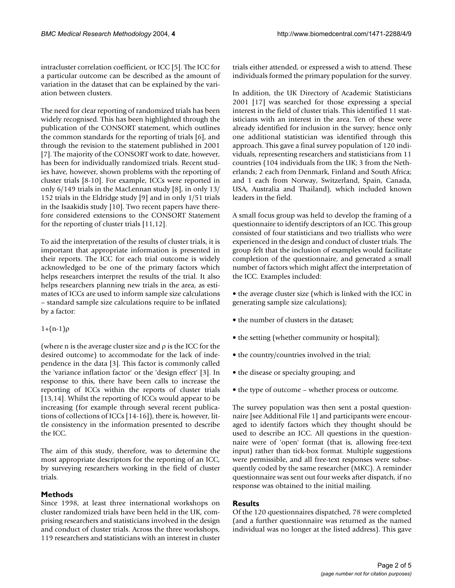intracluster correlation coefficient, or ICC [5]. The ICC for a particular outcome can be described as the amount of variation in the dataset that can be explained by the variation between clusters.

The need for clear reporting of randomized trials has been widely recognised. This has been highlighted through the publication of the CONSORT statement, which outlines the common standards for the reporting of trials [6], and through the revision to the statement published in 2001 [7]. The majority of the CONSORT work to date, however, has been for individually randomized trials. Recent studies have, however, shown problems with the reporting of cluster trials [8-10]. For example, ICCs were reported in only 6/149 trials in the MacLennan study [8], in only 13/ 152 trials in the Eldridge study [9] and in only 1/51 trials in the Isaakidis study [10]. Two recent papers have therefore considered extensions to the CONSORT Statement for the reporting of cluster trials [11,12].

To aid the interpretation of the results of cluster trials, it is important that appropriate information is presented in their reports. The ICC for each trial outcome is widely acknowledged to be one of the primary factors which helps researchers interpret the results of the trial. It also helps researchers planning new trials in the area, as estimates of ICCs are used to inform sample size calculations – standard sample size calculations require to be inflated by a factor:

### $1+(n-1)ρ$

(where n is the average cluster size and  $\rho$  is the ICC for the desired outcome) to accommodate for the lack of independence in the data [3]. This factor is commonly called the 'variance inflation factor' or the 'design effect' [3]. In response to this, there have been calls to increase the reporting of ICCs within the reports of cluster trials [13,14]. Whilst the reporting of ICCs would appear to be increasing (for example through several recent publications of collections of ICCs [14-16]), there is, however, little consistency in the information presented to describe the ICC.

The aim of this study, therefore, was to determine the most appropriate descriptors for the reporting of an ICC, by surveying researchers working in the field of cluster trials.

# **Methods**

Since 1998, at least three international workshops on cluster randomized trials have been held in the UK, comprising researchers and statisticians involved in the design and conduct of cluster trials. Across the three workshops, 119 researchers and statisticians with an interest in cluster

trials either attended, or expressed a wish to attend. These individuals formed the primary population for the survey.

In addition, the UK Directory of Academic Statisticians 2001 [17] was searched for those expressing a special interest in the field of cluster trials. This identified 11 statisticians with an interest in the area. Ten of these were already identified for inclusion in the survey; hence only one additional statistician was identified through this approach. This gave a final survey population of 120 individuals, representing researchers and statisticians from 11 countries (104 individuals from the UK; 3 from the Netherlands; 2 each from Denmark, Finland and South Africa; and 1 each from Norway, Switzerland, Spain, Canada, USA, Australia and Thailand), which included known leaders in the field.

A small focus group was held to develop the framing of a questionnaire to identify descriptors of an ICC. This group consisted of four statisticians and two triallists who were experienced in the design and conduct of cluster trials. The group felt that the inclusion of examples would facilitate completion of the questionnaire, and generated a small number of factors which might affect the interpretation of the ICC. Examples included:

• the average cluster size (which is linked with the ICC in generating sample size calculations);

- the number of clusters in the dataset;
- the setting (whether community or hospital);
- the country/countries involved in the trial;
- the disease or specialty grouping; and
- the type of outcome whether process or outcome.

The survey population was then sent a postal questionnaire [see Additional File 1] and participants were encouraged to identify factors which they thought should be used to describe an ICC. All questions in the questionnaire were of 'open' format (that is, allowing free-text input) rather than tick-box format. Multiple suggestions were permissible, and all free-text responses were subsequently coded by the same researcher (MKC). A reminder questionnaire was sent out four weeks after dispatch, if no response was obtained to the initial mailing.

# **Results**

Of the 120 questionnaires dispatched, 78 were completed (and a further questionnaire was returned as the named individual was no longer at the listed address). This gave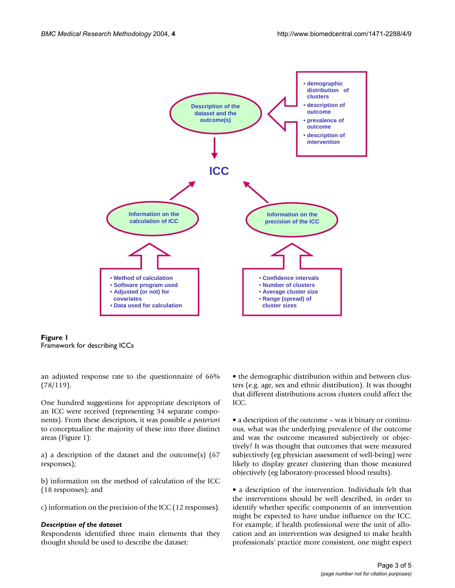

**Figure 1** Framework for describing ICCs

an adjusted response rate to the questionnaire of 66% (78/119).

One hundred suggestions for appropriate descriptors of an ICC were received (representing 34 separate components). From these descriptors, it was possible *a posteriori* to conceptualize the majority of these into three distinct areas (Figure 1):

a) a description of the dataset and the outcome(s) (67 responses);

b) information on the method of calculation of the ICC (18 responses); and

c) information on the precision of the ICC (12 responses).

#### *Description of the dataset*

Respondents identified three main elements that they thought should be used to describe the dataset:

• the demographic distribution within and between clusters (e.g. age, sex and ethnic distribution). It was thought that different distributions across clusters could affect the ICC.

• a description of the outcome – was it binary or continuous, what was the underlying prevalence of the outcome and was the outcome measured subjectively or objectively? It was thought that outcomes that were measured subjectively (eg physician assessment of well-being) were likely to display greater clustering than those measured objectively (eg laboratory-processed blood results).

• a description of the intervention. Individuals felt that the interventions should be well described, in order to identify whether specific components of an intervention might be expected to have undue influence on the ICC. For example, if health professional were the unit of allocation and an intervention was designed to make health professionals' practice more consistent, one might expect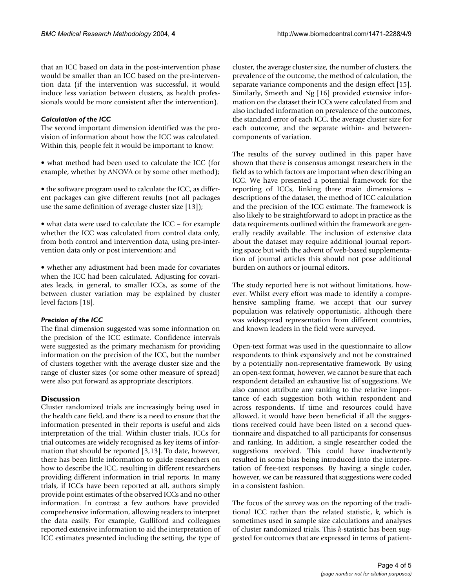that an ICC based on data in the post-intervention phase would be smaller than an ICC based on the pre-intervention data (if the intervention was successful, it would induce less variation between clusters, as health professionals would be more consistent after the intervention).

#### *Calculation of the ICC*

The second important dimension identified was the provision of information about how the ICC was calculated. Within this, people felt it would be important to know:

• what method had been used to calculate the ICC (for example, whether by ANOVA or by some other method);

• the software program used to calculate the ICC, as different packages can give different results (not all packages use the same definition of average cluster size [13]);

• what data were used to calculate the ICC – for example whether the ICC was calculated from control data only, from both control and intervention data, using pre-intervention data only or post intervention; and

• whether any adjustment had been made for covariates when the ICC had been calculated. Adjusting for covariates leads, in general, to smaller ICCs, as some of the between cluster variation may be explained by cluster level factors [18].

#### *Precision of the ICC*

The final dimension suggested was some information on the precision of the ICC estimate. Confidence intervals were suggested as the primary mechanism for providing information on the precision of the ICC, but the number of clusters together with the average cluster size and the range of cluster sizes (or some other measure of spread) were also put forward as appropriate descriptors.

### **Discussion**

Cluster randomized trials are increasingly being used in the health care field, and there is a need to ensure that the information presented in their reports is useful and aids interpretation of the trial. Within cluster trials, ICCs for trial outcomes are widely recognised as key items of information that should be reported [3,13]. To date, however, there has been little information to guide researchers on how to describe the ICC, resulting in different researchers providing different information in trial reports. In many trials, if ICCs have been reported at all, authors simply provide point estimates of the observed ICCs and no other information. In contrast a few authors have provided comprehensive information, allowing readers to interpret the data easily. For example, Gulliford and colleagues reported extensive information to aid the interpretation of ICC estimates presented including the setting, the type of cluster, the average cluster size, the number of clusters, the prevalence of the outcome, the method of calculation, the separate variance components and the design effect [15]. Similarly, Smeeth and Ng [16] provided extensive information on the dataset their ICCs were calculated from and also included information on prevalence of the outcomes, the standard error of each ICC, the average cluster size for each outcome, and the separate within- and betweencomponents of variation.

The results of the survey outlined in this paper have shown that there is consensus amongst researchers in the field as to which factors are important when describing an ICC. We have presented a potential framework for the reporting of ICCs, linking three main dimensions – descriptions of the dataset, the method of ICC calculation and the precision of the ICC estimate. The framework is also likely to be straightforward to adopt in practice as the data requirements outlined within the framework are generally readily available. The inclusion of extensive data about the dataset may require additional journal reporting space but with the advent of web-based supplementation of journal articles this should not pose additional burden on authors or journal editors.

The study reported here is not without limitations, however. Whilst every effort was made to identify a comprehensive sampling frame, we accept that our survey population was relatively opportunistic, although there was widespread representation from different countries, and known leaders in the field were surveyed.

Open-text format was used in the questionnaire to allow respondents to think expansively and not be constrained by a potentially non-representative framework. By using an open-text format, however, we cannot be sure that each respondent detailed an exhaustive list of suggestions. We also cannot attribute any ranking to the relative importance of each suggestion both within respondent and across respondents. If time and resources could have allowed, it would have been beneficial if all the suggestions received could have been listed on a second questionnaire and dispatched to all participants for consensus and ranking. In addition, a single researcher coded the suggestions received. This could have inadvertently resulted in some bias being introduced into the interpretation of free-text responses. By having a single coder, however, we can be reassured that suggestions were coded in a consistent fashion.

The focus of the survey was on the reporting of the traditional ICC rather than the related statistic, *k*, which is sometimes used in sample size calculations and analyses of cluster randomized trials. This *k*-statistic has been suggested for outcomes that are expressed in terms of patient